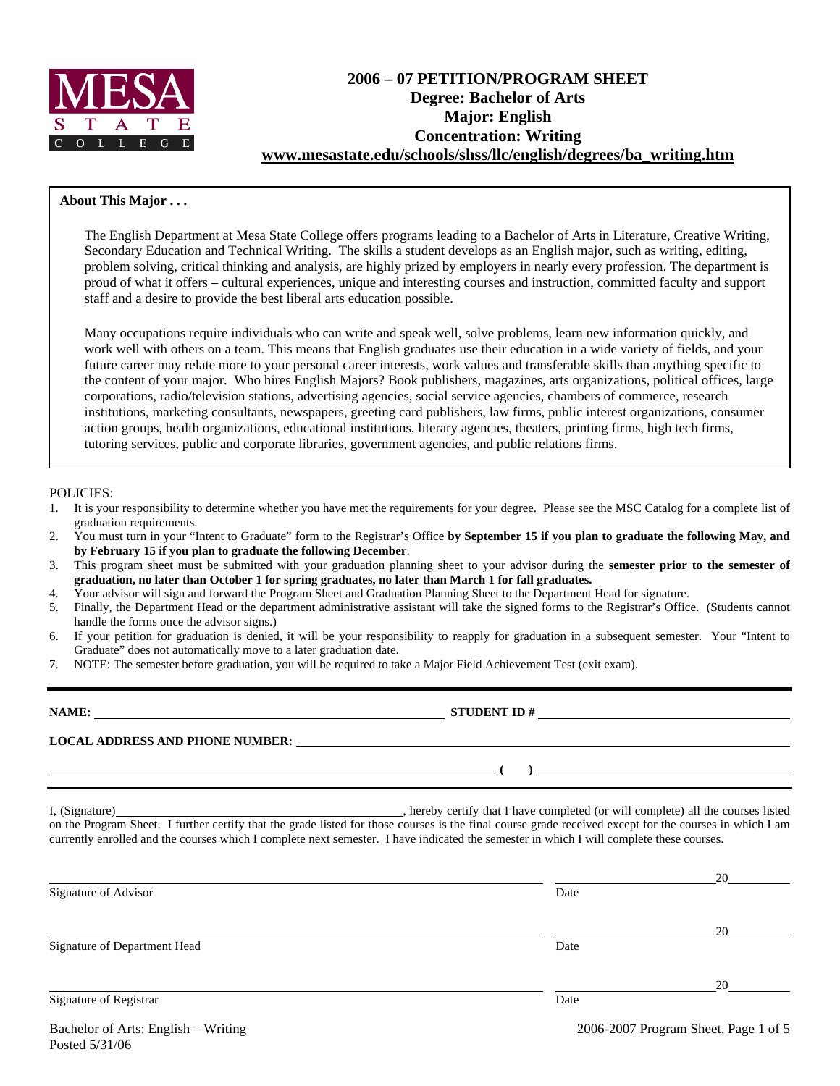

# **2006 – 07 PETITION/PROGRAM SHEET Degree: Bachelor of Arts Major: English Concentration: Writing www.mesastate.edu/schools/shss/llc/english/degrees/ba\_writing.htm**

### **About This Major . . .**

The English Department at Mesa State College offers programs leading to a Bachelor of Arts in Literature, Creative Writing, Secondary Education and Technical Writing. The skills a student develops as an English major, such as writing, editing, problem solving, critical thinking and analysis, are highly prized by employers in nearly every profession. The department is proud of what it offers – cultural experiences, unique and interesting courses and instruction, committed faculty and support staff and a desire to provide the best liberal arts education possible.

Many occupations require individuals who can write and speak well, solve problems, learn new information quickly, and work well with others on a team. This means that English graduates use their education in a wide variety of fields, and your future career may relate more to your personal career interests, work values and transferable skills than anything specific to the content of your major. Who hires English Majors? Book publishers, magazines, arts organizations, political offices, large corporations, radio/television stations, advertising agencies, social service agencies, chambers of commerce, research institutions, marketing consultants, newspapers, greeting card publishers, law firms, public interest organizations, consumer action groups, health organizations, educational institutions, literary agencies, theaters, printing firms, high tech firms, tutoring services, public and corporate libraries, government agencies, and public relations firms.

#### POLICIES:

- 1. It is your responsibility to determine whether you have met the requirements for your degree. Please see the MSC Catalog for a complete list of graduation requirements.
- 2. You must turn in your "Intent to Graduate" form to the Registrar's Office **by September 15 if you plan to graduate the following May, and by February 15 if you plan to graduate the following December**.
- 3. This program sheet must be submitted with your graduation planning sheet to your advisor during the **semester prior to the semester of graduation, no later than October 1 for spring graduates, no later than March 1 for fall graduates.**
- 4. Your advisor will sign and forward the Program Sheet and Graduation Planning Sheet to the Department Head for signature.
- 5. Finally, the Department Head or the department administrative assistant will take the signed forms to the Registrar's Office. (Students cannot handle the forms once the advisor signs.)
- 6. If your petition for graduation is denied, it will be your responsibility to reapply for graduation in a subsequent semester. Your "Intent to Graduate" does not automatically move to a later graduation date.
- 7. NOTE: The semester before graduation, you will be required to take a Major Field Achievement Test (exit exam).

| NAME:                                  | <b>STUDENT ID#</b> |
|----------------------------------------|--------------------|
| <b>LOCAL ADDRESS AND PHONE NUMBER:</b> |                    |
|                                        |                    |

I, (Signature) , hereby certify that I have completed (or will complete) all the courses listed on the Program Sheet. I further certify that the grade listed for those courses is the final course grade received except for the courses in which I am currently enrolled and the courses which I complete next semester. I have indicated the semester in which I will complete these courses.

|                              |      | 20 |
|------------------------------|------|----|
| Signature of Advisor         | Date |    |
|                              |      | 20 |
| Signature of Department Head | Date |    |
|                              |      | 20 |
| Signature of Registrar       | Date |    |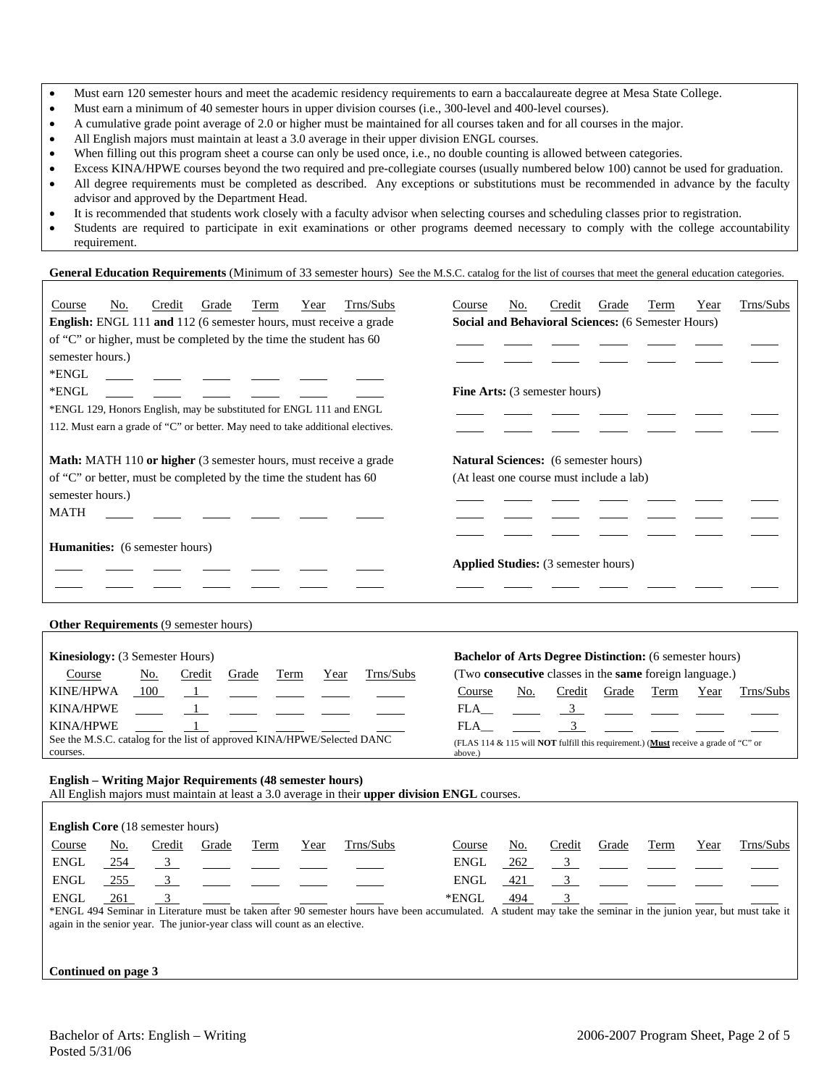- Must earn 120 semester hours and meet the academic residency requirements to earn a baccalaureate degree at Mesa State College.
- Must earn a minimum of 40 semester hours in upper division courses (i.e., 300-level and 400-level courses).
- A cumulative grade point average of 2.0 or higher must be maintained for all courses taken and for all courses in the major.
- All English majors must maintain at least a 3.0 average in their upper division ENGL courses.
- When filling out this program sheet a course can only be used once, i.e., no double counting is allowed between categories.
- Excess KINA/HPWE courses beyond the two required and pre-collegiate courses (usually numbered below 100) cannot be used for graduation.
- All degree requirements must be completed as described. Any exceptions or substitutions must be recommended in advance by the faculty advisor and approved by the Department Head.
- It is recommended that students work closely with a faculty advisor when selecting courses and scheduling classes prior to registration.
- Students are required to participate in exit examinations or other programs deemed necessary to comply with the college accountability requirement.

#### General Education Requirements (Minimum of 33 semester hours) See the M.S.C. catalog for the list of courses that meet the general education categories.

| Trns/Subs<br>Credit<br>Course<br>No.<br>Grade<br>Term<br>Year<br>English: ENGL 111 and 112 (6 semester hours, must receive a grade<br>of "C" or higher, must be completed by the time the student has 60<br>semester hours.)<br>*ENGL<br>*ENGL<br>*ENGL 129, Honors English, may be substituted for ENGL 111 and ENGL<br>112. Must earn a grade of "C" or better. May need to take additional electives. | Trns/Subs<br>Credit<br>Course<br>No.<br>Grade<br>Term<br>Year<br>Social and Behavioral Sciences: (6 Semester Hours)<br><b>Fine Arts:</b> (3 semester hours)                                                              |
|----------------------------------------------------------------------------------------------------------------------------------------------------------------------------------------------------------------------------------------------------------------------------------------------------------------------------------------------------------------------------------------------------------|--------------------------------------------------------------------------------------------------------------------------------------------------------------------------------------------------------------------------|
| Math: MATH 110 or higher (3 semester hours, must receive a grade<br>of "C" or better, must be completed by the time the student has 60<br>semester hours.)<br><b>MATH</b><br><b>Humanities:</b> (6 semester hours)                                                                                                                                                                                       | <b>Natural Sciences:</b> (6 semester hours)<br>(At least one course must include a lab)                                                                                                                                  |
|                                                                                                                                                                                                                                                                                                                                                                                                          | Applied Studies: (3 semester hours)                                                                                                                                                                                      |
| Other Requirements (9 semester hours)                                                                                                                                                                                                                                                                                                                                                                    |                                                                                                                                                                                                                          |
| Kinesiology: (3 Semester Hours)<br>Trns/Subs<br>Course<br>No.<br>Credit<br>Grade<br>Year<br>Term                                                                                                                                                                                                                                                                                                         | <b>Bachelor of Arts Degree Distinction:</b> (6 semester hours)<br>(Two consecutive classes in the same foreign language.)                                                                                                |
| KINE/HPWA<br>100<br>$\blacksquare$<br>$\overline{1}$<br>KINA/HPWE<br>KINA/HPWE<br>See the M.S.C. catalog for the list of approved KINA/HPWE/Selected DANC<br>courses.                                                                                                                                                                                                                                    | No.<br>Credit<br>Grade<br>Trns/Subs<br>Course<br>Term<br>Year<br>3 <sup>7</sup><br>FLA<br>3 <sup>7</sup><br>FLA<br>(FLAS 114 & 115 will <b>NOT</b> fulfill this requirement.) (Must receive a grade of "C" or<br>above.) |
| <b>English - Writing Major Requirements (48 semester hours)</b><br>All English majors must maintain at least a 3.0 average in their upper division ENGL courses.                                                                                                                                                                                                                                         |                                                                                                                                                                                                                          |
| English Core (18 semester hours)                                                                                                                                                                                                                                                                                                                                                                         |                                                                                                                                                                                                                          |
| Trns/Subs<br>Credit<br>Course<br>No.<br>Grade<br>Term<br>Year<br>ENGL<br>254<br>3 <sup>7</sup><br><b>ENGL</b><br>255<br>3<br>3<br><b>ENGL</b><br>261                                                                                                                                                                                                                                                     | Trns/Subs<br>Course<br>No.<br>Credit<br>Grade<br>Term<br>Year<br><b>ENGL</b><br>262<br>3 <sup>7</sup><br>3 <sup>1</sup><br><b>ENGL</b><br>421<br>3<br>*ENGL<br>494                                                       |
| *ENGL 494 Seminar in Literature must be taken after 90 semester hours have been accumulated. A student may take the seminar in the junion year, but must take it<br>again in the senior year. The junior-year class will count as an elective.                                                                                                                                                           |                                                                                                                                                                                                                          |

**Continued on page 3**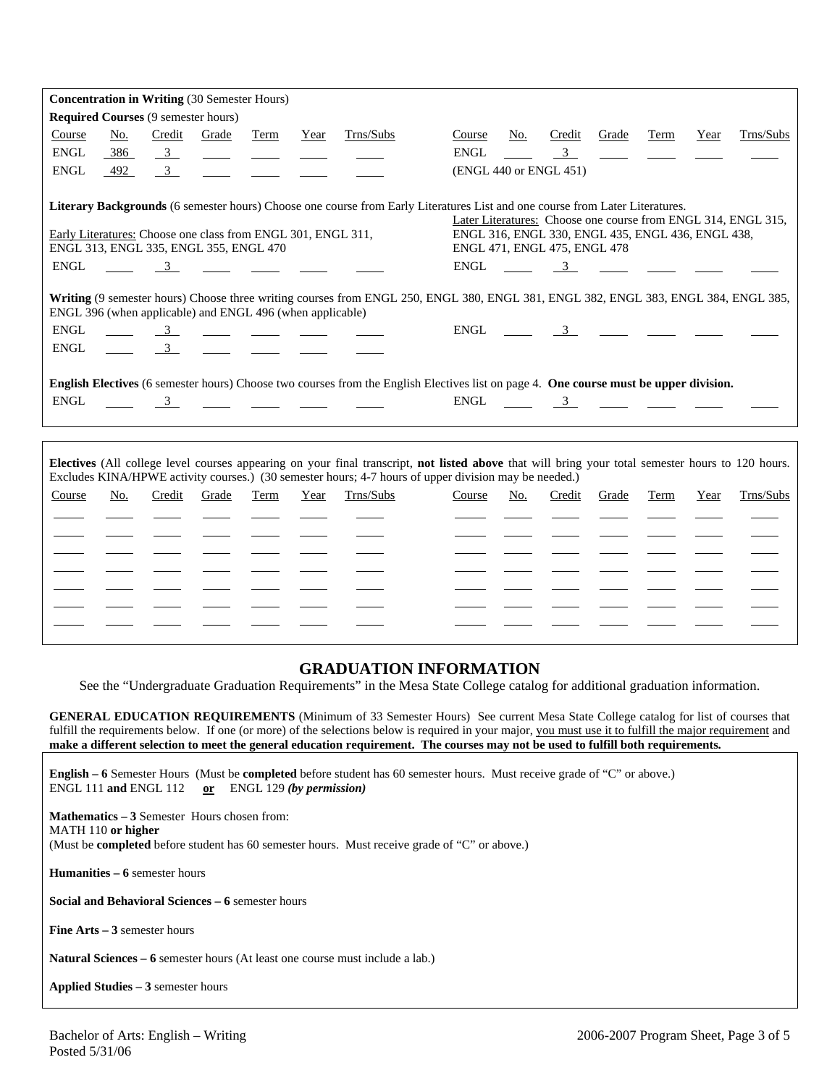|                                                                                         |     |                         | <b>Concentration in Writing (30 Semester Hours)</b>                                                                                                                                                                                                                                                                                                                  |      |      |                                                                                                                                                                                                                                                                                                                                                                                                                                                                                                                                                                                                                                                                                                                                                            |             |     |                                                                                                                                                                                                                                                                                                                        |       |      |      |                                                               |
|-----------------------------------------------------------------------------------------|-----|-------------------------|----------------------------------------------------------------------------------------------------------------------------------------------------------------------------------------------------------------------------------------------------------------------------------------------------------------------------------------------------------------------|------|------|------------------------------------------------------------------------------------------------------------------------------------------------------------------------------------------------------------------------------------------------------------------------------------------------------------------------------------------------------------------------------------------------------------------------------------------------------------------------------------------------------------------------------------------------------------------------------------------------------------------------------------------------------------------------------------------------------------------------------------------------------------|-------------|-----|------------------------------------------------------------------------------------------------------------------------------------------------------------------------------------------------------------------------------------------------------------------------------------------------------------------------|-------|------|------|---------------------------------------------------------------|
| <b>Required Courses (9 semester hours)</b>                                              |     |                         |                                                                                                                                                                                                                                                                                                                                                                      |      |      |                                                                                                                                                                                                                                                                                                                                                                                                                                                                                                                                                                                                                                                                                                                                                            |             |     |                                                                                                                                                                                                                                                                                                                        |       |      |      |                                                               |
| Course                                                                                  | No. | Credit                  | Grade                                                                                                                                                                                                                                                                                                                                                                | Term | Year | Trns/Subs                                                                                                                                                                                                                                                                                                                                                                                                                                                                                                                                                                                                                                                                                                                                                  | Course      | No. | Credit                                                                                                                                                                                                                                                                                                                 | Grade | Term | Year | Trns/Subs                                                     |
| <b>ENGL</b>                                                                             | 386 | $\overline{3}$          | $\frac{1}{2}$ and $\frac{1}{2}$                                                                                                                                                                                                                                                                                                                                      |      |      |                                                                                                                                                                                                                                                                                                                                                                                                                                                                                                                                                                                                                                                                                                                                                            | <b>ENGL</b> |     | $\overline{\mathbf{3}}$                                                                                                                                                                                                                                                                                                |       |      |      |                                                               |
| <b>ENGL</b>                                                                             | 492 | $\overline{\mathbf{3}}$ |                                                                                                                                                                                                                                                                                                                                                                      |      |      |                                                                                                                                                                                                                                                                                                                                                                                                                                                                                                                                                                                                                                                                                                                                                            |             |     | (ENGL 440 or ENGL 451)                                                                                                                                                                                                                                                                                                 |       |      |      |                                                               |
|                                                                                         |     |                         |                                                                                                                                                                                                                                                                                                                                                                      |      |      |                                                                                                                                                                                                                                                                                                                                                                                                                                                                                                                                                                                                                                                                                                                                                            |             |     |                                                                                                                                                                                                                                                                                                                        |       |      |      |                                                               |
|                                                                                         |     |                         |                                                                                                                                                                                                                                                                                                                                                                      |      |      | Literary Backgrounds (6 semester hours) Choose one course from Early Literatures List and one course from Later Literatures.                                                                                                                                                                                                                                                                                                                                                                                                                                                                                                                                                                                                                               |             |     |                                                                                                                                                                                                                                                                                                                        |       |      |      |                                                               |
|                                                                                         |     |                         |                                                                                                                                                                                                                                                                                                                                                                      |      |      |                                                                                                                                                                                                                                                                                                                                                                                                                                                                                                                                                                                                                                                                                                                                                            |             |     |                                                                                                                                                                                                                                                                                                                        |       |      |      | Later Literatures: Choose one course from ENGL 314, ENGL 315, |
| Early Literatures: Choose one class from ENGL 301, ENGL 311,                            |     |                         |                                                                                                                                                                                                                                                                                                                                                                      |      |      |                                                                                                                                                                                                                                                                                                                                                                                                                                                                                                                                                                                                                                                                                                                                                            |             |     | ENGL 316, ENGL 330, ENGL 435, ENGL 436, ENGL 438,                                                                                                                                                                                                                                                                      |       |      |      |                                                               |
| ENGL 313, ENGL 335, ENGL 355, ENGL 470                                                  |     |                         |                                                                                                                                                                                                                                                                                                                                                                      |      |      |                                                                                                                                                                                                                                                                                                                                                                                                                                                                                                                                                                                                                                                                                                                                                            |             |     | ENGL 471, ENGL 475, ENGL 478                                                                                                                                                                                                                                                                                           |       |      |      |                                                               |
| <b>ENGL</b>                                                                             |     |                         | $\frac{3}{2}$ $\frac{3}{2}$ $\frac{1}{2}$ $\frac{1}{2}$ $\frac{1}{2}$ $\frac{1}{2}$                                                                                                                                                                                                                                                                                  |      |      |                                                                                                                                                                                                                                                                                                                                                                                                                                                                                                                                                                                                                                                                                                                                                            | <b>ENGL</b> |     | $\frac{3}{\sqrt{2}}$ $\frac{3}{\sqrt{2}}$ $\frac{3}{\sqrt{2}}$ $\frac{3}{\sqrt{2}}$                                                                                                                                                                                                                                    |       |      |      |                                                               |
| ENGL 396 (when applicable) and ENGL 496 (when applicable)<br><b>ENGL</b><br><b>ENGL</b> |     |                         | $\frac{3}{\sqrt{3}}$ $\frac{3}{\sqrt{3}}$ $\frac{3}{\sqrt{3}}$ $\frac{3}{\sqrt{3}}$ $\frac{3}{\sqrt{3}}$ $\frac{3}{\sqrt{3}}$ $\frac{3}{\sqrt{3}}$ $\frac{3}{\sqrt{3}}$ $\frac{3}{\sqrt{3}}$ $\frac{3}{\sqrt{3}}$ $\frac{3}{\sqrt{3}}$ $\frac{3}{\sqrt{3}}$ $\frac{3}{\sqrt{3}}$ $\frac{3}{\sqrt{3}}$ $\frac{3}{\sqrt{3}}$ $\frac{3}{\sqrt{3}}$ $\frac{3}{\sqrt{3}}$ |      |      | Writing (9 semester hours) Choose three writing courses from ENGL 250, ENGL 380, ENGL 381, ENGL 382, ENGL 383, ENGL 384, ENGL 385,<br>$\frac{3}{\sqrt{2}} \quad \frac{3}{\sqrt{2}} \quad \frac{3}{\sqrt{2}} \quad \frac{3}{\sqrt{2}} \quad \frac{3}{\sqrt{2}} \quad \frac{3}{\sqrt{2}} \quad \frac{3}{\sqrt{2}} \quad \frac{3}{\sqrt{2}} \quad \frac{3}{\sqrt{2}} \quad \frac{3}{\sqrt{2}} \quad \frac{3}{\sqrt{2}} \quad \frac{3}{\sqrt{2}} \quad \frac{3}{\sqrt{2}} \quad \frac{3}{\sqrt{2}} \quad \frac{3}{\sqrt{2}} \quad \frac{3}{\sqrt{2}} \quad \frac{3}{\sqrt{2}} \quad \frac{3}{\sqrt{2}} \quad \frac{3$<br>English Electives (6 semester hours) Choose two courses from the English Electives list on page 4. One course must be upper division. |             |     | ENGL $\frac{3}{2}$ $\frac{3}{2}$ $\frac{3}{2}$ $\frac{3}{2}$ $\frac{3}{2}$ $\frac{3}{2}$ $\frac{3}{2}$ $\frac{3}{2}$ $\frac{3}{2}$ $\frac{3}{2}$ $\frac{3}{2}$ $\frac{3}{2}$ $\frac{3}{2}$ $\frac{3}{2}$ $\frac{3}{2}$ $\frac{3}{2}$ $\frac{3}{2}$ $\frac{3}{2}$ $\frac{3}{2}$ $\frac{3}{2}$ $\frac{3}{2}$ $\frac{3}{$ |       |      |      |                                                               |
| ENGL                                                                                    |     |                         |                                                                                                                                                                                                                                                                                                                                                                      |      |      | $\frac{3}{\sqrt{3}}$                                                                                                                                                                                                                                                                                                                                                                                                                                                                                                                                                                                                                                                                                                                                       | ENGL        |     | $\frac{3}{\sqrt{2}}$ $\frac{3}{\sqrt{2}}$ $\frac{3}{\sqrt{2}}$ $\frac{3}{\sqrt{2}}$                                                                                                                                                                                                                                    |       |      |      |                                                               |
|                                                                                         |     |                         |                                                                                                                                                                                                                                                                                                                                                                      |      |      |                                                                                                                                                                                                                                                                                                                                                                                                                                                                                                                                                                                                                                                                                                                                                            |             |     |                                                                                                                                                                                                                                                                                                                        |       |      |      |                                                               |
|                                                                                         |     |                         |                                                                                                                                                                                                                                                                                                                                                                      |      |      | Electives (All college level courses appearing on your final transcript, not listed above that will bring your total semester hours to 120 hours.<br>Excludes KINA/HPWE activity courses.) (30 semester hours; 4-7 hours of upper division may be needed.)                                                                                                                                                                                                                                                                                                                                                                                                                                                                                                 |             |     |                                                                                                                                                                                                                                                                                                                        |       |      |      |                                                               |
| Course                                                                                  | No. | Credit                  | Grade                                                                                                                                                                                                                                                                                                                                                                | Term | Year | Trns/Subs                                                                                                                                                                                                                                                                                                                                                                                                                                                                                                                                                                                                                                                                                                                                                  | Course      | No. | Credit                                                                                                                                                                                                                                                                                                                 | Grade | Term | Year | Trns/Subs                                                     |
|                                                                                         |     |                         |                                                                                                                                                                                                                                                                                                                                                                      |      |      |                                                                                                                                                                                                                                                                                                                                                                                                                                                                                                                                                                                                                                                                                                                                                            |             |     |                                                                                                                                                                                                                                                                                                                        |       |      |      |                                                               |
|                                                                                         |     |                         |                                                                                                                                                                                                                                                                                                                                                                      |      |      |                                                                                                                                                                                                                                                                                                                                                                                                                                                                                                                                                                                                                                                                                                                                                            |             |     |                                                                                                                                                                                                                                                                                                                        |       |      |      |                                                               |
|                                                                                         |     |                         |                                                                                                                                                                                                                                                                                                                                                                      |      |      |                                                                                                                                                                                                                                                                                                                                                                                                                                                                                                                                                                                                                                                                                                                                                            |             |     |                                                                                                                                                                                                                                                                                                                        |       |      |      |                                                               |
|                                                                                         |     |                         |                                                                                                                                                                                                                                                                                                                                                                      |      |      |                                                                                                                                                                                                                                                                                                                                                                                                                                                                                                                                                                                                                                                                                                                                                            |             |     |                                                                                                                                                                                                                                                                                                                        |       |      |      |                                                               |
|                                                                                         |     |                         |                                                                                                                                                                                                                                                                                                                                                                      |      |      |                                                                                                                                                                                                                                                                                                                                                                                                                                                                                                                                                                                                                                                                                                                                                            |             |     |                                                                                                                                                                                                                                                                                                                        |       |      |      |                                                               |
|                                                                                         |     |                         |                                                                                                                                                                                                                                                                                                                                                                      |      |      |                                                                                                                                                                                                                                                                                                                                                                                                                                                                                                                                                                                                                                                                                                                                                            |             |     |                                                                                                                                                                                                                                                                                                                        |       |      |      |                                                               |
|                                                                                         |     |                         |                                                                                                                                                                                                                                                                                                                                                                      |      |      |                                                                                                                                                                                                                                                                                                                                                                                                                                                                                                                                                                                                                                                                                                                                                            |             |     |                                                                                                                                                                                                                                                                                                                        |       |      |      |                                                               |

# **GRADUATION INFORMATION**

See the "Undergraduate Graduation Requirements" in the Mesa State College catalog for additional graduation information.

**GENERAL EDUCATION REQUIREMENTS** (Minimum of 33 Semester Hours) See current Mesa State College catalog for list of courses that fulfill the requirements below. If one (or more) of the selections below is required in your major, you must use it to fulfill the major requirement and **make a different selection to meet the general education requirement. The courses may not be used to fulfill both requirements.**

**English – 6** Semester Hours (Must be **completed** before student has 60 semester hours. Must receive grade of "C" or above.) ENGL 111 **and** ENGL 112 **or** ENGL 129 *(by permission)*

**Mathematics – 3** Semester Hours chosen from: MATH 110 **or higher** (Must be **completed** before student has 60 semester hours. Must receive grade of "C" or above.)

**Humanities – 6** semester hours

**Social and Behavioral Sciences – 6** semester hours

**Fine Arts – 3** semester hours

**Natural Sciences – 6** semester hours (At least one course must include a lab.)

**Applied Studies – 3** semester hours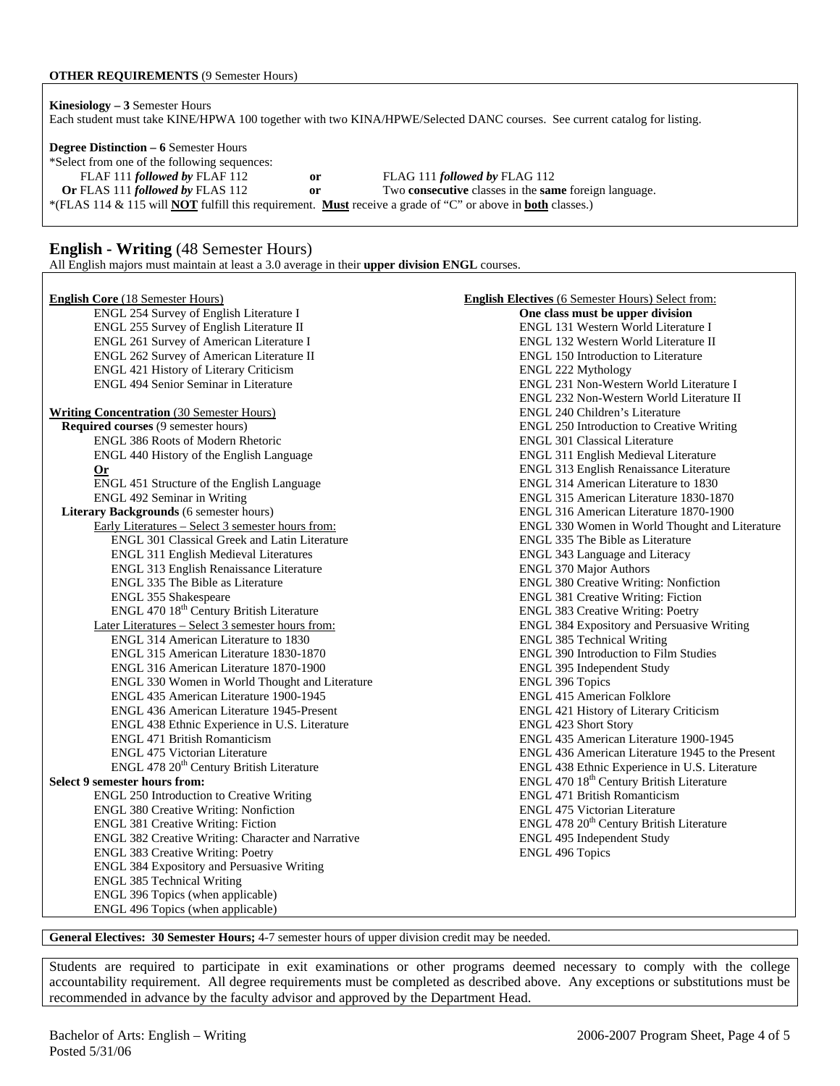#### **OTHER REQUIREMENTS** (9 Semester Hours)

**Kinesiology – 3** Semester Hours Each student must take KINE/HPWA 100 together with two KINA/HPWE/Selected DANC courses. See current catalog for listing.

**Degree Distinction – 6** Semester Hours

\*Select from one of the following sequences: FLAF 111 *followed by* FLAF 112 **or** FLAG 111 *followed by* FLAG 112 **Or** FLAS 111 *followed by* FLAS 112 **or** Two **consecutive** classes in the **same** foreign language. \*(FLAS 114 & 115 will **NOT** fulfill this requirement. **Must** receive a grade of "C" or above in **both** classes.)

### **English - Writing** (48 Semester Hours)

All English majors must maintain at least a 3.0 average in their **upper division ENGL** courses.

| <b>English Core (18 Semester Hours)</b>              | <b>English Electives (6 Semester Hours) Select from:</b> |
|------------------------------------------------------|----------------------------------------------------------|
| ENGL 254 Survey of English Literature I              | One class must be upper division                         |
| ENGL 255 Survey of English Literature II             | ENGL 131 Western World Literature I                      |
| ENGL 261 Survey of American Literature I             | ENGL 132 Western World Literature II                     |
| ENGL 262 Survey of American Literature II            | <b>ENGL 150 Introduction to Literature</b>               |
| ENGL 421 History of Literary Criticism               | ENGL 222 Mythology                                       |
| ENGL 494 Senior Seminar in Literature                | ENGL 231 Non-Western World Literature I                  |
|                                                      | ENGL 232 Non-Western World Literature II                 |
| <b>Writing Concentration (30 Semester Hours)</b>     | <b>ENGL 240 Children's Literature</b>                    |
| Required courses (9 semester hours)                  | <b>ENGL 250 Introduction to Creative Writing</b>         |
| ENGL 386 Roots of Modern Rhetoric                    | <b>ENGL 301 Classical Literature</b>                     |
| ENGL 440 History of the English Language             | <b>ENGL 311 English Medieval Literature</b>              |
| <b>Or</b>                                            | ENGL 313 English Renaissance Literature                  |
| ENGL 451 Structure of the English Language           | ENGL 314 American Literature to 1830                     |
| ENGL 492 Seminar in Writing                          | ENGL 315 American Literature 1830-1870                   |
| Literary Backgrounds (6 semester hours)              | ENGL 316 American Literature 1870-1900                   |
| Early Literatures - Select 3 semester hours from:    | ENGL 330 Women in World Thought and Literature           |
| ENGL 301 Classical Greek and Latin Literature        | ENGL 335 The Bible as Literature                         |
| ENGL 311 English Medieval Literatures                | ENGL 343 Language and Literacy                           |
| ENGL 313 English Renaissance Literature              | <b>ENGL 370 Major Authors</b>                            |
| ENGL 335 The Bible as Literature                     | <b>ENGL 380 Creative Writing: Nonfiction</b>             |
| ENGL 355 Shakespeare                                 | <b>ENGL 381 Creative Writing: Fiction</b>                |
| ENGL 470 18 <sup>th</sup> Century British Literature | <b>ENGL 383 Creative Writing: Poetry</b>                 |
| Later Literatures - Select 3 semester hours from:    | ENGL 384 Expository and Persuasive Writing               |
| ENGL 314 American Literature to 1830                 | <b>ENGL 385 Technical Writing</b>                        |
| ENGL 315 American Literature 1830-1870               | ENGL 390 Introduction to Film Studies                    |
| ENGL 316 American Literature 1870-1900               | ENGL 395 Independent Study                               |
| ENGL 330 Women in World Thought and Literature       | <b>ENGL 396 Topics</b>                                   |
| ENGL 435 American Literature 1900-1945               | <b>ENGL 415 American Folklore</b>                        |
| ENGL 436 American Literature 1945-Present            | ENGL 421 History of Literary Criticism                   |
| ENGL 438 Ethnic Experience in U.S. Literature        | <b>ENGL 423 Short Story</b>                              |
| <b>ENGL 471 British Romanticism</b>                  | ENGL 435 American Literature 1900-1945                   |
| <b>ENGL 475 Victorian Literature</b>                 | ENGL 436 American Literature 1945 to the Present         |
| ENGL 478 20 <sup>th</sup> Century British Literature | ENGL 438 Ethnic Experience in U.S. Literature            |
| <b>Select 9 semester hours from:</b>                 | ENGL 470 18 <sup>th</sup> Century British Literature     |
| <b>ENGL 250 Introduction to Creative Writing</b>     | <b>ENGL 471 British Romanticism</b>                      |
| <b>ENGL 380 Creative Writing: Nonfiction</b>         | <b>ENGL 475 Victorian Literature</b>                     |
| ENGL 381 Creative Writing: Fiction                   | ENGL 478 20 <sup>th</sup> Century British Literature     |
| ENGL 382 Creative Writing: Character and Narrative   | ENGL 495 Independent Study                               |
| <b>ENGL 383 Creative Writing: Poetry</b>             | <b>ENGL 496 Topics</b>                                   |
| ENGL 384 Expository and Persuasive Writing           |                                                          |
| <b>ENGL 385 Technical Writing</b>                    |                                                          |
| ENGL 396 Topics (when applicable)                    |                                                          |
| ENGL 496 Topics (when applicable)                    |                                                          |

**General Electives: 30 Semester Hours;** 4-7 semester hours of upper division credit may be needed.

Students are required to participate in exit examinations or other programs deemed necessary to comply with the college accountability requirement. All degree requirements must be completed as described above. Any exceptions or substitutions must be recommended in advance by the faculty advisor and approved by the Department Head.